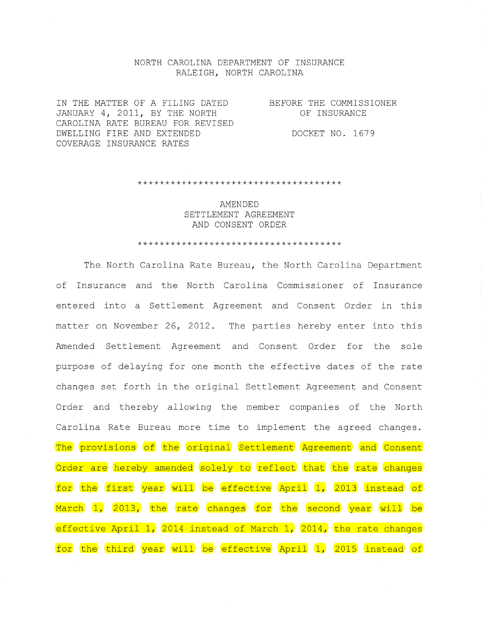#### NORTH CAROLINA DEPARTMENT OF INSURANCE RALEIGH, NORTH CAROLINA

IN THE MATTER OF A FILING DATED JANUARY 4, 2011, BY THE NORTH CAROLINA RATE BUREAU FOR REVISED DWELLING FIRE AND EXTENDED COVERAGE INSURANCE RATES

BEFORE THE COMMISSIONER OF INSURANCE

DOCKET NO. 1679

\*\*\*\*\*\*\*\*\*\*\*\*\*\*\*\*\*\*\*\*\*\*\*\*\*\*\*\*\*\*\*\*\*\*\*\*\*

AMENDED SETTLEMENT AGREEMENT AND CONSENT ORDER

#### \*\*\*\*\*\*\*\*\*\*\*\*\*\*\*\*\*\*\*\*\*\*\*\*\*\*\*\*\*\*\*\*\*\*\*\*\*

The North Carolina Rate Bureau, the North Carolina Department of Insurance and the North Carolina Commissioner of Insurance entered into a Settlement Agreement and Consent Order in this matter on November 26, 2012. The parties hereby enter into this Amended Settlement Agreement and Consent Order for the sole purpose of delaying for one month the effective dates of the rate changes set forth in the original Settlement Agreement and Consent Order and thereby allowing the member companies of the North Carolina Rate Bureau more time to implement the agreed changes. The provisions of the original Settlement Agreement and Consent Order are hereby amended solely to reflect that the rate changes for the first year will be effective April 1, 2013 instead of March 1, 2013, the rate changes for the second year will be effective April 1, 2014 instead of March 1, 2014, the rate changes for the third year will be effective April 1, 2015 instead of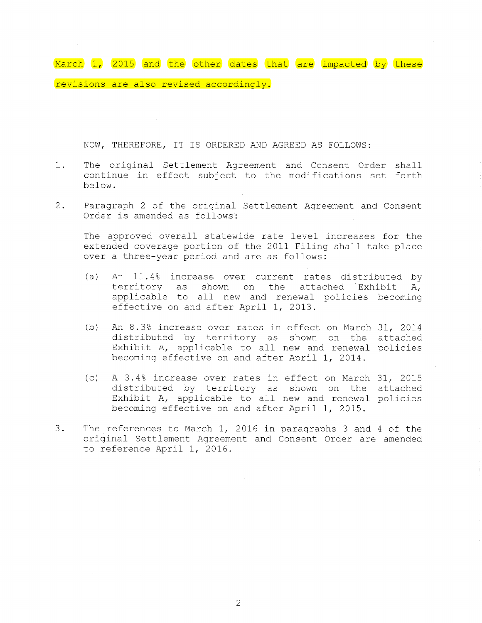March 1, 2015 and the other dates that are impacted by these revisions are also revised accordingly.

NOW, THEREFORE, IT IS ORDERED AND AGREED AS FOLLOWS:

- 1. The original Settlement Agreement and Consent Order shall continue in effect subject to the modifications set forth below.
- 2. Paragraph 2 of the original Settlement Agreement and Consent Order is amended as follows:

The approved overall statewide rate level increases for the extended coverage portion of the 2011 Filing shall take place over a three-year period and are as follows:

- (a) An 11.4% increase over current rates distributed by territory as shown on the attached Exhibit A, applicable to all new and renewal policies becoming effective on and after April 1, 2013.
- (b) An 8.3% increase over rates in effect on March 31, 2014 distributed by territory as shown on the attached Exhibit A, applicable to all new and renewal policies becoming effective on and after April 1, 2014.
- $(c)$  A 3.4% increase over rates in effect on March 31, 2015 distributed by territory as shown on the attached Exhibit A, applicable to all new and renewal policies becoming effective on and after April 1, 2015.
- 3. The references to March 1, 2016 in paragraphs 3 and 4 of the original Settlement Agreement and Consent Order are amended to reference April 1, 2016.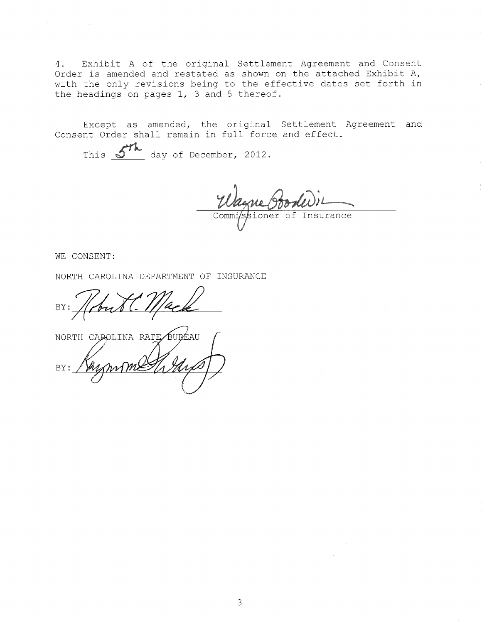4. Exhibit A of the original Settlement Agreement and Consent Order is amended and restated as shown on the attached Exhibit A, with the only revisions being to the effective dates set forth in the headings on pages 1, 3 and 5 thereof.

Except as amended, the original Settlement Agreement and Consent Order shall remain in full force and effect.

This  $\frac{\mathcal{S}^{\mathcal{H}}\mathbf{h}}{\mathbf{d}}$  day of December, 2012.

Comm oner of Insurance

WE CONSENT:

 $\mathcal{F}^{\text{max}}_{\text{max}}$  and  $\mathcal{F}^{\text{max}}_{\text{max}}$ 

NORTH CAROLINA DEPARTMENT OF INSURANCE

BY:

NORTH CAROLINA RATE BUREAU BY: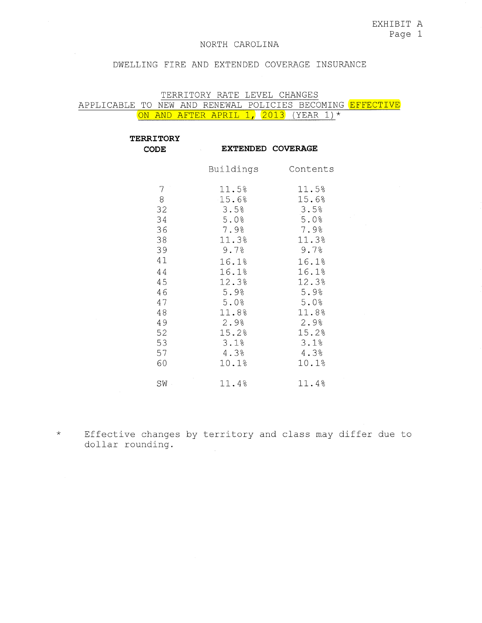#### DWELLING FIRE AND EXTENDED COVERAGE INSURANCE

#### TERRITORY RATE LEVEL CHANGES

APPLICABLE TO NEW AND RENEWAL POLICIES BECOMING EFFECTIVE ON AND AFTER APRIL 1, 2013 (YEAR 1)\*

| <b>TERRITORY</b><br><b>CODE</b>                                                                             | <b>EXTENDED COVERAGE</b>                                                                                                                                 |                                                                                                                                                       |
|-------------------------------------------------------------------------------------------------------------|----------------------------------------------------------------------------------------------------------------------------------------------------------|-------------------------------------------------------------------------------------------------------------------------------------------------------|
|                                                                                                             | Buildings                                                                                                                                                | Contents                                                                                                                                              |
| 7<br>$\, 8$<br>32<br>34<br>36<br>38<br>39<br>41<br>44<br>45<br>46<br>47<br>48<br>49<br>52<br>53<br>57<br>60 | 11.5%<br>$-15.6%$<br>3.5%<br>5.0%<br>7.9%<br>11.3%<br>9.7%<br>16.1%<br>16.1%<br>12.3%<br>5.9%<br>5.0%<br>11.8%<br>2.9%<br>15.2%<br>3.1%<br>4.3%<br>10.1% | 11.5%<br>15.6%<br>3.5%<br>5.0%<br>7.9%<br>11.3%<br>9.7%<br>16.1%<br>16.1%<br>12.3%<br>5.9%<br>5.0%<br>11.8%<br>2.9%<br>15.2%<br>3.1%<br>4.3%<br>10.1% |
| SW <sub>1</sub>                                                                                             | 11.4%                                                                                                                                                    | 11.4%                                                                                                                                                 |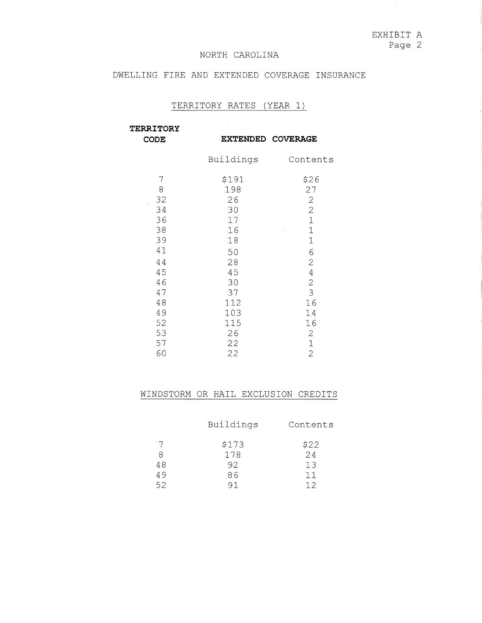## DWELLING FIRE AND EXTENDED COVERAGE INSURANCE

# TERRITORY RATES (YEAR 1)

| <b>TERRITORY</b>                                             |                                                                    |                                                                                                                                                             |
|--------------------------------------------------------------|--------------------------------------------------------------------|-------------------------------------------------------------------------------------------------------------------------------------------------------------|
| <b>CODE</b>                                                  |                                                                    | EXTENDED COVERAGE                                                                                                                                           |
|                                                              | Buildings                                                          | Contents                                                                                                                                                    |
| 7<br>8<br>32<br>34<br>36<br>38<br>39<br>41<br>44<br>45<br>46 | \$191<br>198<br>26<br>30<br>17<br>16<br>18<br>50<br>28<br>45<br>30 | \$26<br>27<br>$\mathbf{2}$<br>$\overline{c}$<br>$\overline{1}$<br>$\mathbf{1}$<br>$\overline{1}$<br>6<br>$\overline{2}$<br>$\overline{4}$<br>$\overline{c}$ |
| 47<br>48<br>49<br>52<br>53<br>57<br>60                       | 37<br>112<br>103<br>115<br>26<br>22<br>22                          | 3<br>16<br>14<br>16<br>$\mathbf 2$<br>$\mathbf{1}$<br>$\overline{2}$                                                                                        |

|    | Buildings | Contents      |
|----|-----------|---------------|
|    | \$173     | $$22$<br>$24$ |
| 8  | 178       |               |
| 48 | 92        | 13            |
| 49 | 86        | 11            |
| 52 | 91        | 12            |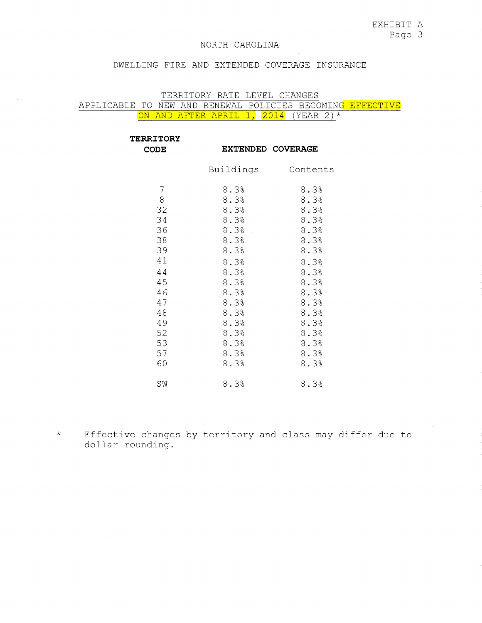#### DWELLING FIRE AND EXTENDED COVERAGE INSURANCE

## TERRITORY RATE LEVEL CHANGES

APPLICABLE TO NEW AND RENEWAL POLICIES BECOMING EFFECTIVE ON AND AFTER APRIL 1, 2014 (YEAR 2) \*

| <b>TERRITORY</b><br><b>CODE</b>                                                                        |                                                                                                                                              | <b>EXTENDED COVERAGE</b>                                                                                                                     |
|--------------------------------------------------------------------------------------------------------|----------------------------------------------------------------------------------------------------------------------------------------------|----------------------------------------------------------------------------------------------------------------------------------------------|
|                                                                                                        | Buildings                                                                                                                                    | Contents                                                                                                                                     |
| 7<br>8<br>32<br>34<br>36<br>38<br>39<br>41<br>44<br>45<br>46<br>47<br>48<br>49<br>52<br>53<br>57<br>60 | 8.3%<br>8.3%<br>8.3%<br>8.3%<br>8.3%<br>8.3%<br>8.3%<br>8.3%<br>8.3%<br>8.3%<br>8.3%<br>8.3%<br>8.3%<br>8.3%<br>8.3%<br>8.3%<br>8.3%<br>8.3% | 8.3%<br>8.3%<br>8.3%<br>8.3%<br>8.3%<br>8.3%<br>8.3%<br>8.3%<br>8.3%<br>8.3%<br>8.3%<br>8.3%<br>8.3%<br>8.3%<br>8.3%<br>8.3%<br>8.3%<br>8.3% |
| SW                                                                                                     | 8.3%                                                                                                                                         | 8.3%                                                                                                                                         |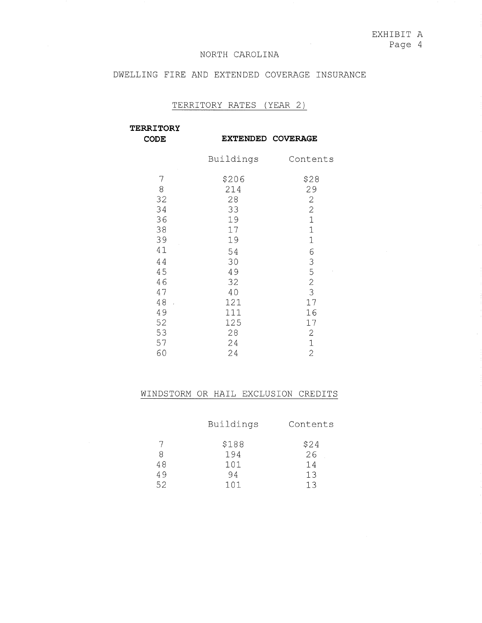## DWELLING FIRE AND EXTENDED COVERAGE INSURANCE

### TERRITORY RATES (YEAR 2)

**TERRITORY** 

**CODE** 

**EXTENDED COVERAGE** 

|    | Buildings | Contents       |
|----|-----------|----------------|
| 7  | \$206     | \$28           |
| 8  | 214       | 29             |
| 32 | 28        | $\overline{c}$ |
| 34 | 33        | $\overline{c}$ |
| 36 | 19        | $\mathbf{1}$   |
| 38 | 17        | $\mathbf 1$    |
| 39 | 19        | 1              |
| 41 | 54        | 6              |
| 44 | 30        | 3              |
| 45 | 49        | 5              |
| 46 | 32        | $\overline{c}$ |
| 47 | 40        | 3              |
| 48 | 121       | 17             |
| 49 | 111       | 16             |
| 52 | 125       | 17             |
| 53 | 28        | 2              |
| 57 | 24        | $\mathbf 1$    |
| 60 | 24        | $\overline{2}$ |

|    | Buildings | Contents |
|----|-----------|----------|
|    | \$188     | \$24     |
| 8  | 194       | 26       |
| 48 | 101       | 14       |
| 49 | 94        | 13       |
| 52 | 101       |          |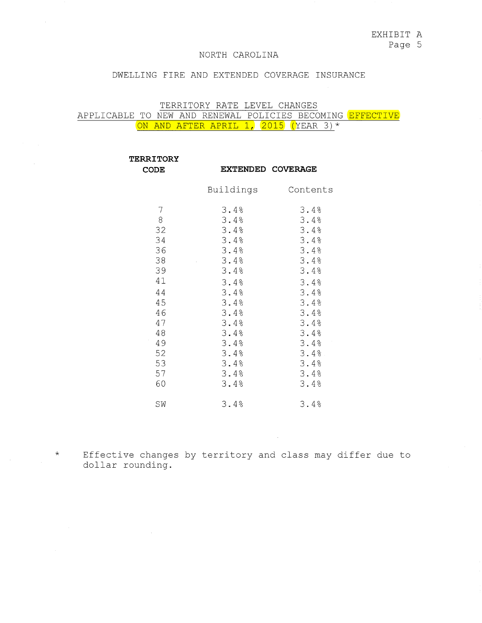EXHIBIT A

Page 5

## NORTH CAROLINA

### DWELLING FIRE AND EXTENDED COVERAGE INSURANCE

## TERRITORY RATE LEVEL CHANGES APPLICABLE TO NEW AND RENEWAL POLICIES BECOMING <mark>EFFECTIVE</mark> ON AND AFTER APRIL 1, 2015 (YEAR 3)\*

| <b>TERRITORY</b>                                                                                       |                                                                                                                                              |                                                                                                                                              |
|--------------------------------------------------------------------------------------------------------|----------------------------------------------------------------------------------------------------------------------------------------------|----------------------------------------------------------------------------------------------------------------------------------------------|
| <b>CODE</b>                                                                                            | <b>EXTENDED COVERAGE</b>                                                                                                                     |                                                                                                                                              |
|                                                                                                        | Buildings                                                                                                                                    | Contents                                                                                                                                     |
| 7<br>8<br>32<br>34<br>36<br>38<br>39<br>41<br>44<br>45<br>46<br>47<br>48<br>49<br>52<br>53<br>57<br>60 | 3.4%<br>3.4%<br>3.4%<br>3.4%<br>3.4%<br>3.4%<br>3.4%<br>3.4%<br>3.4%<br>3.4%<br>3.4%<br>3.4%<br>3.4%<br>3.4%<br>3.4%<br>3.4%<br>3.4%<br>3.4% | 3.4%<br>3.4%<br>3.4%<br>3.4%<br>3.4%<br>3.4%<br>3.4%<br>3.4%<br>3.4%<br>3.4%<br>3.4%<br>3.4%<br>3.4%<br>3.4%<br>3.4%<br>3.4%<br>3.4%<br>3.4% |
| SW                                                                                                     | 3.4%                                                                                                                                         | 3.4%                                                                                                                                         |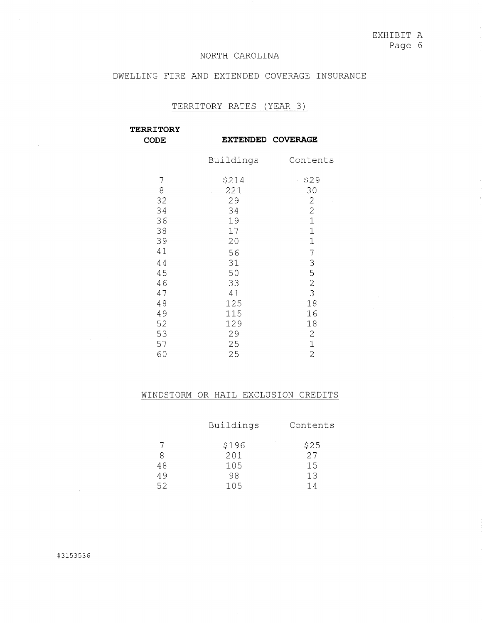EXHIBIT A Page 6

#### NORTH CAROLINA

## DWELLING FIRE AND EXTENDED COVERAGE INSURANCE

## TERRITORY RATES (YEAR 3)

| <b>TERRITORY</b><br><b>CODE</b> |           | EXTENDED COVERAGE |
|---------------------------------|-----------|-------------------|
|                                 | Buildings | Contents          |
| 7                               | \$214     | \$29<br>¥,        |
| 8                               | 221       | 30                |
| 32                              | 29        | $\sqrt{2}$        |
| 34                              | 34        | $\overline{c}$    |
| 36                              | 19        | $\mathbf{1}$      |
| 38                              | 17        | $\mathbf{1}$      |
| 39                              | 20        | $\mathbf{1}$      |
| 41                              | 56        | 7                 |
| 44                              | 31        |                   |
| 45                              | 50        | $\frac{3}{5}$     |
| 46                              | 33        | $\frac{2}{3}$     |
| 47                              | 41        |                   |
| 48                              | 125       | 18                |
| 49                              | 115       | 16                |
| 52                              | 129       | 18                |
| 53                              | 29        | $\mathbf{2}$      |
| 57                              | 25        | $\mathbf{1}$      |
| 60                              | 25        | $\overline{2}$    |

|    | Buildings | Contents |
|----|-----------|----------|
|    | \$196     | \$25     |
| 8  | 201       | 27       |
| 48 | 105       | 15       |
| 49 | 98        | 13       |
| 52 | 105       | 14       |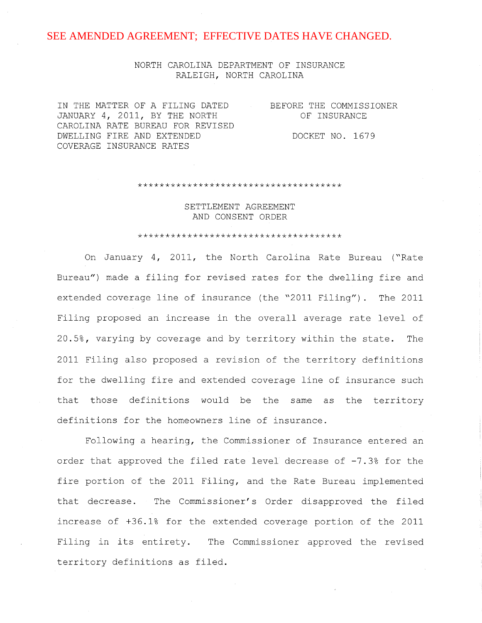## NORTH CAROLINA DEPARTMENT OF INSURANCE RALEIGH, NORTH CAROLINA

IN THE MATTER OF A FILING DATED JANUARY 4, 2011, BY THE NORTH CAROLINA RATE BUREAU FOR REVISED DWELLING FIRE AND EXTENDED COVERAGE INSURANCE RATES

BEFORE THE COMMISSIONER OF INSURANCE

DOCKET NO. 1679

\*\*\*\*\*\*\*\*\*\*\*\*\*\*\*\*\*\*\*\*\*\*\*\*\*\*\*\*\*\*\*\*\*\*\*\*\*

SETTLEMENT AGREEMENT AND CONSENT ORDER

#### \*\*\*\*\*\*\*\*\*\*\*\*\*\*\*\*\*\*\*\*\*\*\*\*\*\*\*\*\*\*\*\*\*\*\*\*\*

On January 4, 2011, the North Carolina Rate Bureau ("Rate Bureau") made a filing for revised rates for the dwelling fire and extended coverage line of insurance (the "2011 Filing") . The 2011 Filing proposed an increase in the overall average rate level of 20.5%, varying by coverage and by territory within the state. The 2011 Filing also proposed a revision of the territory definitions for the dwelling fire and extended coverage line of insurance such that those definitions would be the same as the territory definitions for the homeowners line of insurance.

Following a hearing, the Commissioner of Insurance entered an order that approved the filed rate level decrease of  $-7.3$ % for the fire portion of the 2011 Filing, and the Rate Bureau implemented that decrease. The Commissioner's Order disapproved the filed increase of +36.1% for the extended coverage portion of the 2011 Filing in **its** entirety. The Commissioner approved the revised territory definitions as filed.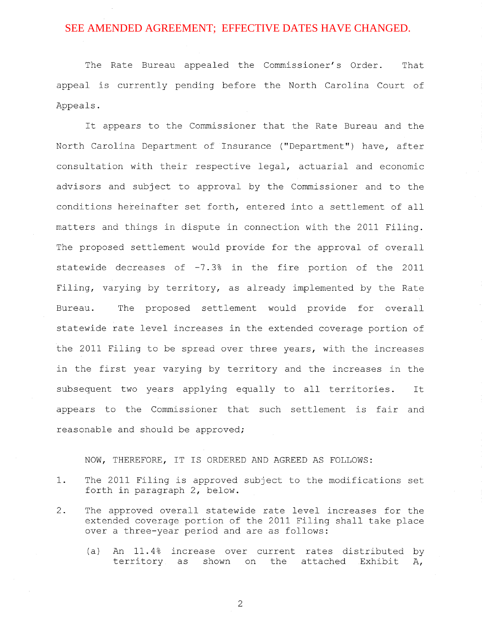The Rate Bureau appealed the Commissioner's Order. That appeal is currently pending before the North Carolina Court of Appeals.

It appears to the Commissioner that the Rate Bureau and the North Carolina Department of Insurance ("Department") have, after consultation with their respective legal, actuarial and economic advisors and subject to approval by the Commissioner and to the conditions hereinafter set forth, entered into a settlement of all matters and things in dispute in connection with the 2011 Filing. The proposed settlement would provide for the approval of overall statewide decreases of -7.3% in the fire portion of the 2011 Filing, varying by territory, as already implemented by the Rate Bureau. The proposed settlement would provide for overall statewide rate level increases in the extended coverage portion of the 2011 Filing to be spread over three years, with the increases in the first year varying by territory and the increases in the subsequent two years applying equally to all territories. It appears to the Commissioner that such settlement is fair and reasonable and should be approved;

#### NOW, THEREFORE, IT IS ORDERED AND AGREED AS FOLLOWS:

- 1. The 2011 Filing is approved subject to the modifications set forth in paragraph 2, below.
- 2. The approved overall statewide rate level increases for the extended coverage portion of the 2011 Filing shall take place over a three-year period and are as follows:
	- (a) An 11.4% increase over current rates distributed by territory as shown on the attached Exhibit  $A_{\ell}$

2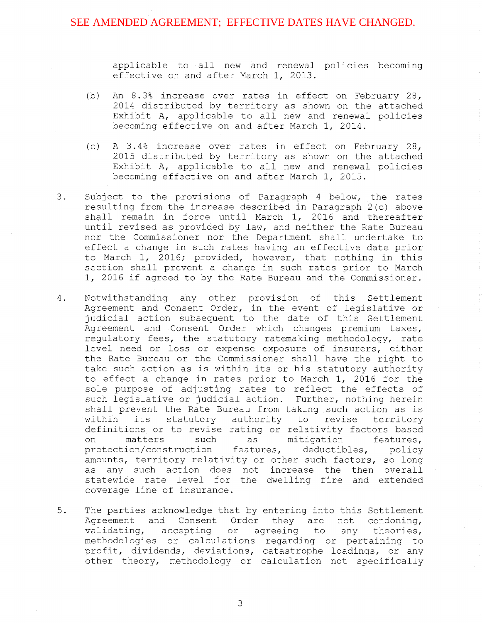applicable to all new and renewal policies becoming effective on and after March 1, 2013.

- (b) An 8. 3% increase over rates in effect on February 28, 2014 distributed by territory as shown on the attached Exhibit A, applicable to all new and renewal policies becoming effective on and after March 1, 2014.
- (c) A 3. 4% increase over rates in effect on February 28, 2015 distributed by territory as shown on the attached Exhibit A, applicable to all new and renewal policies becoming effective on and after March 1, 2015.
- 3. Subject to the provisions of Paragraph 4 below, the rates resulting from the increase described in Paragraph 2(c) above shall remain in force until March 1, 2016 and thereafter until revised as provided by law, and neither the Rate Bureau nor the Commissioner nor the Department shall undertake to effect a change in such rates having an effective date prior to March 1, 2016; provided, however, that nothing in this section shall prevent a change in such rates prior to March 1, 2016 if agreed to by the Rate Bureau and the Commissioner.
- 4. Notwithstanding any other provision of this Settlement Agreement and Consent Order, in the event of legislative or judicial action subsequent to the date of this Settlement Agreement and Consent Order which changes premium taxes, regulatory fees, the statutory ratemaking methodology, rate level need or loss or expense exposure of insurers, either the Rate Bureau or the Commissioner shall have the right to take such action as is within its or his statutory authority to effect a change in rates prior to March 1, 2016 for the sole purpose of adjusting rates to reflect the effects of such legislative or judicial action. Further, nothing herein shall prevent the Rate Bureau from taking such action as is<br>within its statutory authority to revise territory statutory authority to revise territory definitions or to revise rating or relativity factors based<br>on matters such as mitigation features, on matters such as mitigation features, protection/construction features, deductibles, policy protection/construction features, deductibles, policy<br>amounts, territory relativity or other such factors, so long as any such action does not increase the then overall statewide rate level for the dwelling fire and extended coverage line of insurance.
- 5. The parties acknowledge that by entering into this Settlement Agreement and Consent Order they are not condoning, validating, accepting or agreeing to any theories, methodologies or calculations regarding or pertaining to profit, dividends, deviations, catastrophe loadings, or any other theory, methodology or calculation not specifically

3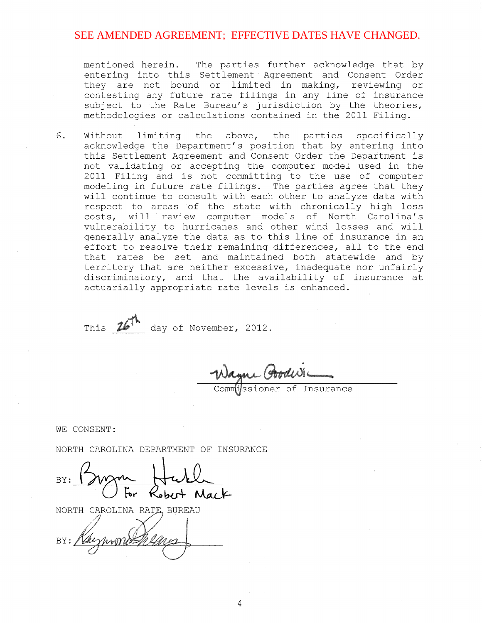mentioned herein. The parties further acknowledge that by entering into this Settlement Agreement and Consent Order they are not bound or limited in making, reviewing or contesting any future rate filings in any line of insurance subject to the Rate Bureau's jurisdiction by the theories, methodologies or calculations contained in the 2011 Filing.

6. Without limiting the above, the parties specifically acknowledge the Department's position that by entering into this Settlement Agreement and Consent Order the Department is not validating or accepting the computer model used in the 2011 Filing and is not committing to the use of computer modeling in future rate filings. The parties agree that they will continue to consult with each other to analyze data with respect to areas of the state with chronically high loss costs, will review computer models of North Carolina's vulnerability to hurricanes and other wind losses and will generally analyze the data as to this line of insurance in an effort to resolve their remaining differences, all to the end that rates be set and maintained both statewide and by territory that are neither excessive, inadequate nor unfairly discriminatory, and that the availability of insurance at actuarially appropriate rate levels is enhanced.

This  $26^{7}$  day of November, 2012.

issioner of Insurance

WE CONSENT:

NORTH CAROLINA DEPARTMENT OF INSURANCE

NORTH CAROLINA RATE, BUREAU

Kaymond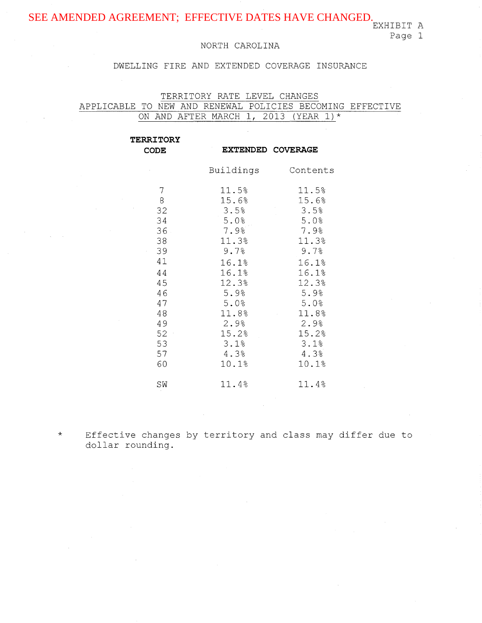Page 1

## NORTH CAROLINA

## DWELLING FIRE AND EXTENDED COVERAGE INSURANCE

TERRITORY RATE LEVEL CHANGES APPLICABLE TO NEW AND RENEWAL POLICIES BECOMING EFFECTIVE ON AND AFTER MARCH 1, 2013 (YEAR 1)\*

| <b>TERRITORY</b>                                                                                                    |                                                                                                                                              |                                                                                                                                              |
|---------------------------------------------------------------------------------------------------------------------|----------------------------------------------------------------------------------------------------------------------------------------------|----------------------------------------------------------------------------------------------------------------------------------------------|
| <b>CODE</b>                                                                                                         |                                                                                                                                              | <b>EXTENDED COVERAGE</b>                                                                                                                     |
|                                                                                                                     | Buildings                                                                                                                                    | Contents                                                                                                                                     |
| 7<br>8<br>32<br>34<br>36.<br>38<br>39<br>$\alpha$ .<br>41<br>44<br>45<br>46<br>47<br>48<br>49<br>$52 -$<br>53<br>57 | 11.5%<br>15.6%<br>3.5%<br>5.0%<br>7.98<br>11.3%<br>9.7%<br>16.1%<br>16.1%<br>12.3%<br>5.9%<br>5.0%<br>11.8%<br>2.9%<br>15.2%<br>3.1%<br>4.3% | 11.5%<br>15.6%<br>3.5%<br>5:0%<br>7.9%<br>11.3%<br>9.7%<br>16.1%<br>16.1%<br>12.3%<br>5.9%<br>5.0%<br>11.8%<br>2.9%<br>15.2%<br>3.1%<br>4.3% |
| 60                                                                                                                  | 10.1%                                                                                                                                        | 10.1%                                                                                                                                        |
| SW                                                                                                                  | 11.4%                                                                                                                                        | 11.4%                                                                                                                                        |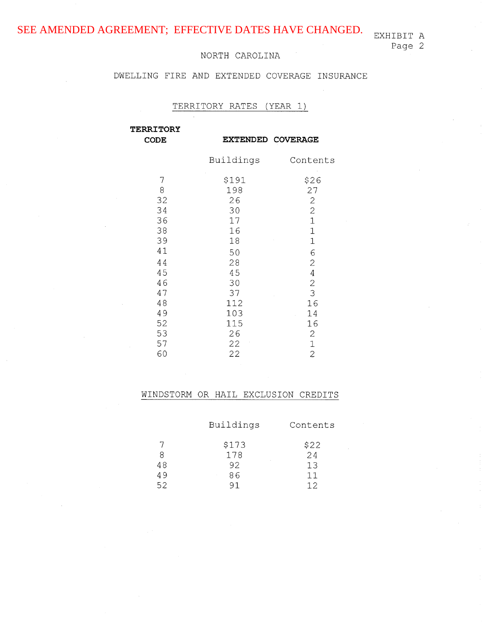## DWELLING FIRE AND EXTENDED COVERAGE INSURANCE

# TERRITORY RATES (YEAR 1)

| <b>TERRITORY</b><br><b>CODE</b> |                  | <b>EXTENDED COVERAGE</b>         |
|---------------------------------|------------------|----------------------------------|
|                                 | Buildings        | Contents                         |
| 7                               | \$191            | \$26                             |
| 8                               | 198              | 27                               |
| 32                              | 26               | $\mathbf{2}^{\circ}$             |
| 34                              | 30               | $\overline{c}$                   |
| 36                              | 17               | $\mathbf{1}$                     |
| 38                              | 16               | $\mathbf 1$                      |
| 39                              | 18               | $\mathbf 1$                      |
| 41                              | 50               | 6                                |
| 44                              | 28               | $\mathbf{2}$                     |
| 45                              | 45               | $\overline{4}$                   |
| 46                              | 30               | $\mathbf{2}$                     |
| 47<br>48<br>49                  | 37<br>112<br>103 | 3<br>16<br>14<br>$\sim 10^{-11}$ |
| 52                              | 115              | 16                               |
| 53                              | 26               | $\mathbf{2}$                     |
| 57                              | 22               | $\mathbf 1$                      |
| 60                              | 22               | $\overline{2}$                   |

| Buildings | Contents        |
|-----------|-----------------|
| \$173     | \$22            |
| 178       | $\frac{1}{2}$ 4 |
| 92        | 13              |
| 86        | 11              |
| 91        | 12              |
|           |                 |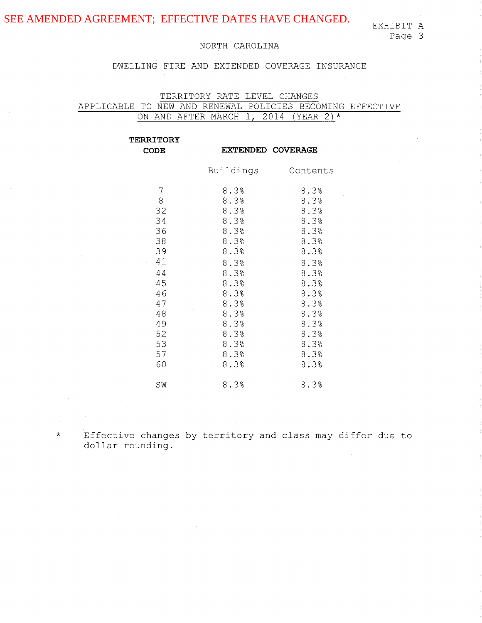## DWELLING FIRE AND EXTENDED COVERAGE INSURANCE

TERRITORY RATE LEVEL CHANGES APPLICABLE TO NEW AND RENEWAL POLICIES BECOMING EFFECTIVE ON AND AFTER MARCH 1, 2014 (YEAR 2)\*

| <b>TERRITORY</b><br><b>CODE</b>                                                                                        |                                                                                                                                                 | EXTENDED COVERAGE                                                                                                                            |
|------------------------------------------------------------------------------------------------------------------------|-------------------------------------------------------------------------------------------------------------------------------------------------|----------------------------------------------------------------------------------------------------------------------------------------------|
|                                                                                                                        | Buildings                                                                                                                                       | Contents                                                                                                                                     |
| 7<br>$\,8\,$<br>32<br>34<br>36<br>38<br>39<br>41<br>$\sim$<br>44<br>45<br>46<br>47<br>48<br>49<br>52<br>53<br>57<br>60 | 8.3%<br>8.3%<br>8.3%<br>8.3%<br>8.3%<br>8.3%<br>8.3%<br>8.3%<br>8.3%<br>8.3%<br>8.3%<br>8.3%<br>8.3%<br>8.3%<br>$8.3\%$<br>8.3%<br>8.3%<br>8.3% | 8.3%<br>8.3%<br>8.3%<br>8.3%<br>8.3%<br>8.3%<br>8.3%<br>8.3%<br>8.3%<br>8.3%<br>8.3%<br>8.3%<br>8.3%<br>8.3%<br>8.3%<br>8.3%<br>8.3%<br>8.3% |
| SW                                                                                                                     | 8.3%                                                                                                                                            | 8.3%                                                                                                                                         |

Effective changes by territory and class may differ due to dollar rounding.

\*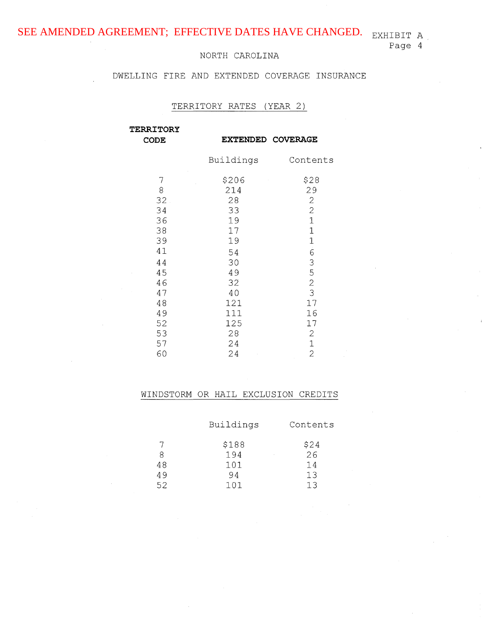# DWELLING FIRE AND EXTENDED COVERAGE INSURANCE

#### TERRITORY RATES (YEAR 2)

**TERRITORY CODE** 

**EXTENDED COVERAGE** 

|    | Buildings                            | Contents       |
|----|--------------------------------------|----------------|
| 7  | \$206<br>$\hat{\boldsymbol{\theta}}$ | \$28           |
| 8  | 214                                  | 29             |
| 32 | 28                                   | $\mathbf{2}$   |
| 34 | 33                                   | $\overline{c}$ |
| 36 | 19                                   | $\mathbf{1}$   |
| 38 | 17                                   | $\mathbf{1}$   |
| 39 | 19                                   | $\mathbf 1$    |
| 41 | 54                                   | $\dot{6}$      |
| 44 | 30                                   | 3              |
| 45 | 49                                   | 5              |
| 46 | 32                                   | $\overline{c}$ |
| 47 | 40                                   | 3              |
| 48 | 121                                  | 17             |
| 49 | 111                                  | 16             |
| 52 | 125                                  | 17             |
| 53 | 28                                   | $\sqrt{2}$     |
| 57 | 24                                   | $\mathbf 1$    |
| 60 | 24<br>ł                              | $\overline{2}$ |

|    | Buildings         | Contents      |
|----|-------------------|---------------|
|    | \$188             | $$24$<br>$26$ |
| -8 | 194<br>$\epsilon$ |               |
| 48 | 101               | 14            |
| 49 | 94                | 13            |
| 52 | 101               |               |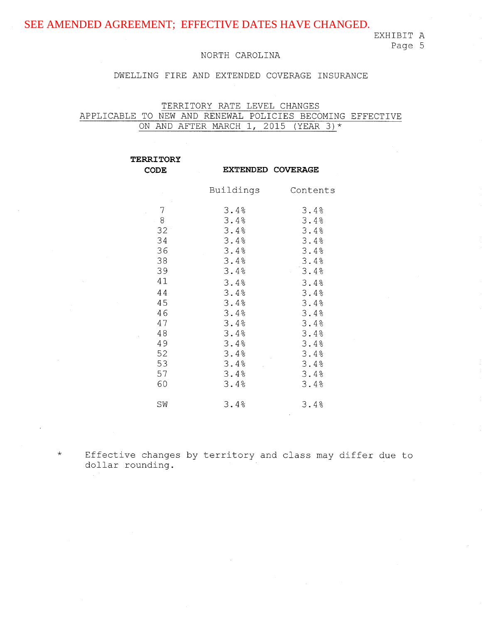## EXHIBIT A

# Page 5

### NORTH CAROLINA

## DWELLING FIRE AND EXTENDED COVERAGE INSURANCE

TERRITORY RATE LEVEL CHANGES APPLICABLE TO NEW AND RENEWAL POLICIES BECOMING EFFECTIVE ON AND AFTER MARCH 1, 2015 (YEAR 3)\*

| <b>TERRITORY</b>                                                                                                       |                                                                                                                                              |                                                                                                                                              |
|------------------------------------------------------------------------------------------------------------------------|----------------------------------------------------------------------------------------------------------------------------------------------|----------------------------------------------------------------------------------------------------------------------------------------------|
| <b>CODE</b>                                                                                                            |                                                                                                                                              | <b>EXTENDED COVERAGE</b>                                                                                                                     |
|                                                                                                                        | Buildings                                                                                                                                    | Contents                                                                                                                                     |
| $\overline{7}$<br>$-8$<br>32<br>34<br>36<br>38<br>39<br>41<br>44<br>45<br>46<br>47<br>48<br>49<br>52<br>53<br>57<br>60 | 3.4%<br>3.4%<br>3.4%<br>3.4%<br>3.4%<br>3.4%<br>3.4%<br>3.4%<br>3.4%<br>3.4%<br>3.4%<br>3.4%<br>3.4%<br>3.4%<br>3.4%<br>3.4%<br>3.4%<br>3.4% | 3.4%<br>3.4%<br>3.4%<br>3.4%<br>3.4%<br>3.4%<br>3.4%<br>3.4%<br>3.4%<br>3.4%<br>3.4%<br>3.4%<br>3.4%<br>3.4%<br>3.4%<br>3.4%<br>3.4%<br>3.4% |
| SW                                                                                                                     | 3.4%                                                                                                                                         | 3.4%                                                                                                                                         |
|                                                                                                                        |                                                                                                                                              |                                                                                                                                              |

\*